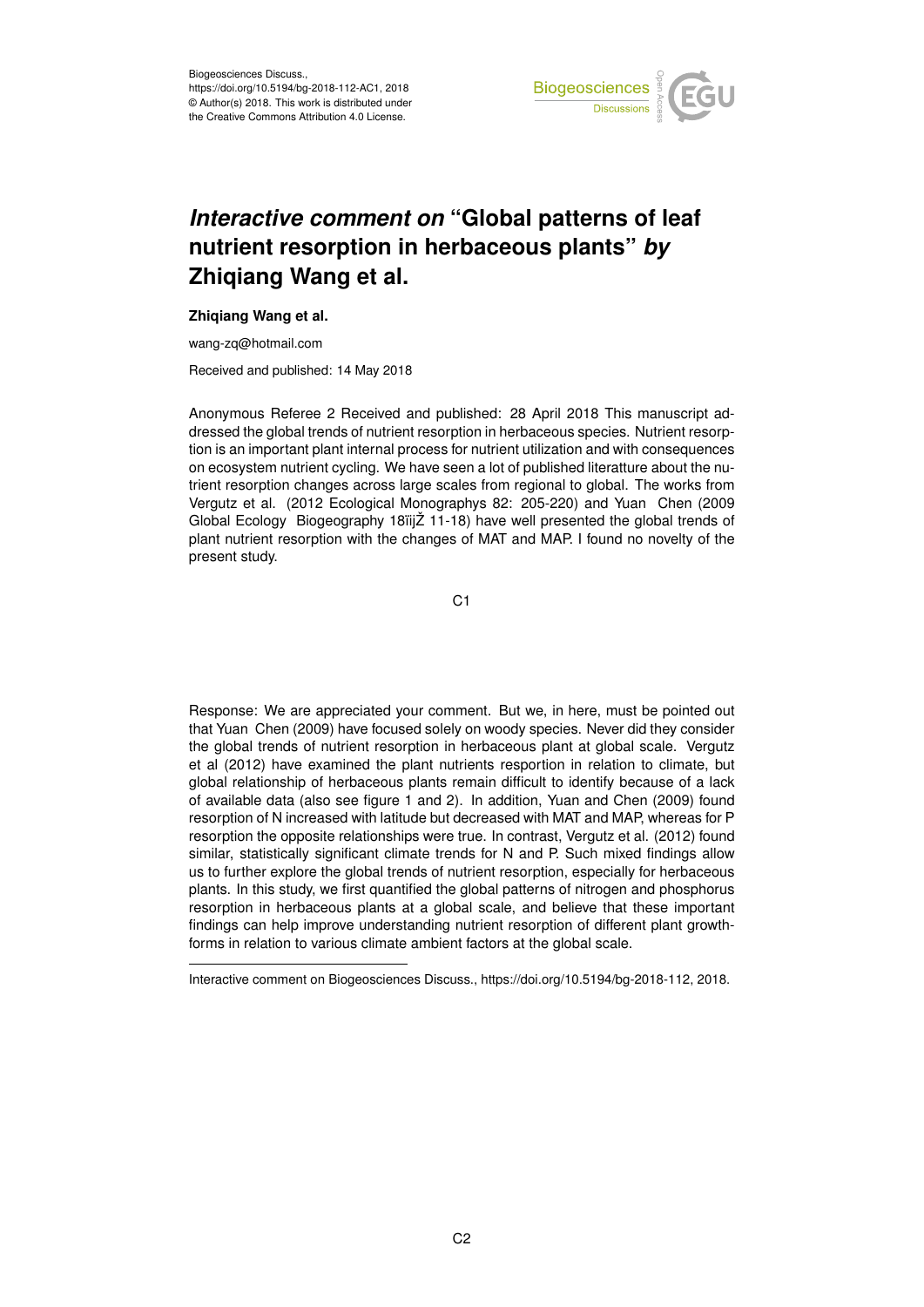

## *Interactive comment on* **"Global patterns of leaf nutrient resorption in herbaceous plants"** *by* **Zhiqiang Wang et al.**

## **Zhiqiang Wang et al.**

wang-zq@hotmail.com

Received and published: 14 May 2018

Anonymous Referee 2 Received and published: 28 April 2018 This manuscript addressed the global trends of nutrient resorption in herbaceous species. Nutrient resorption is an important plant internal process for nutrient utilization and with consequences on ecosystem nutrient cycling. We have seen a lot of published literatture about the nutrient resorption changes across large scales from regional to global. The works from Vergutz et al. (2012 Ecological Monographys 82: 205-220) and Yuan Chen (2009 Global Ecology Biogeography 18ïijŽ 11-18) have well presented the global trends of plant nutrient resorption with the changes of MAT and MAP. I found no novelty of the present study.

C<sub>1</sub>

Response: We are appreciated your comment. But we, in here, must be pointed out that Yuan Chen (2009) have focused solely on woody species. Never did they consider the global trends of nutrient resorption in herbaceous plant at global scale. Vergutz et al (2012) have examined the plant nutrients resportion in relation to climate, but global relationship of herbaceous plants remain difficult to identify because of a lack of available data (also see figure 1 and 2). In addition, Yuan and Chen (2009) found resorption of N increased with latitude but decreased with MAT and MAP, whereas for P resorption the opposite relationships were true. In contrast, Vergutz et al. (2012) found similar, statistically significant climate trends for N and P. Such mixed findings allow us to further explore the global trends of nutrient resorption, especially for herbaceous plants. In this study, we first quantified the global patterns of nitrogen and phosphorus resorption in herbaceous plants at a global scale, and believe that these important findings can help improve understanding nutrient resorption of different plant growthforms in relation to various climate ambient factors at the global scale.

Interactive comment on Biogeosciences Discuss., https://doi.org/10.5194/bg-2018-112, 2018.